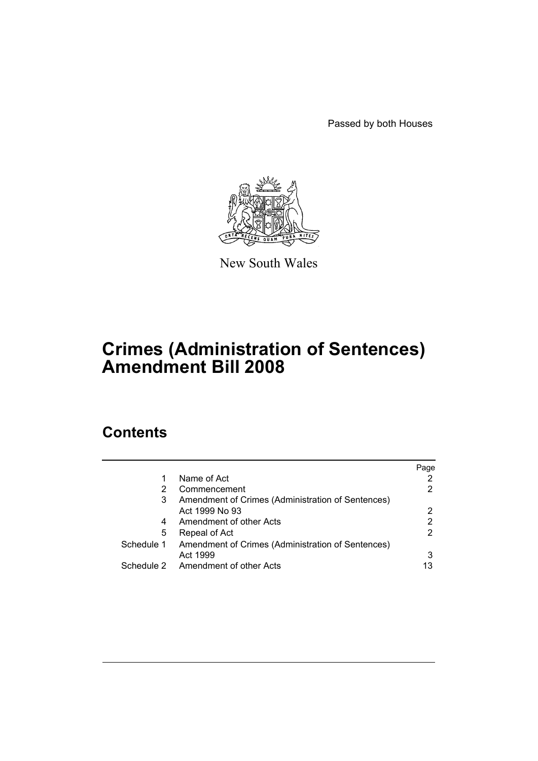Passed by both Houses



New South Wales

# **Crimes (Administration of Sentences) Amendment Bill 2008**

# **Contents**

|            |                                                   | Page |
|------------|---------------------------------------------------|------|
| 1          | Name of Act                                       |      |
| 2          | Commencement                                      | 2    |
| 3          | Amendment of Crimes (Administration of Sentences) |      |
|            | Act 1999 No 93                                    | 2    |
| 4          | Amendment of other Acts                           | 2    |
| 5          | Repeal of Act                                     | 2    |
| Schedule 1 | Amendment of Crimes (Administration of Sentences) |      |
|            | Act 1999                                          | 3    |
|            | Schedule 2 Amendment of other Acts                | 13   |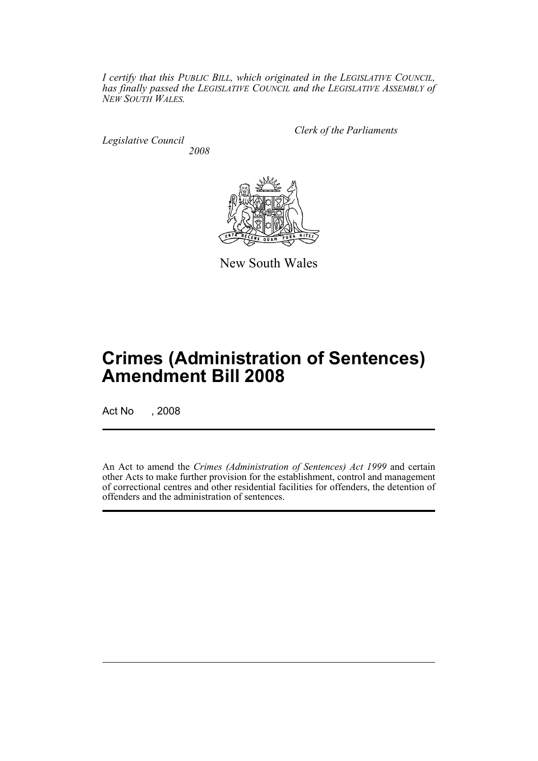*I certify that this PUBLIC BILL, which originated in the LEGISLATIVE COUNCIL, has finally passed the LEGISLATIVE COUNCIL and the LEGISLATIVE ASSEMBLY of NEW SOUTH WALES.*

*Legislative Council 2008* *Clerk of the Parliaments*



New South Wales

# **Crimes (Administration of Sentences) Amendment Bill 2008**

Act No , 2008

An Act to amend the *Crimes (Administration of Sentences) Act 1999* and certain other Acts to make further provision for the establishment, control and management of correctional centres and other residential facilities for offenders, the detention of offenders and the administration of sentences.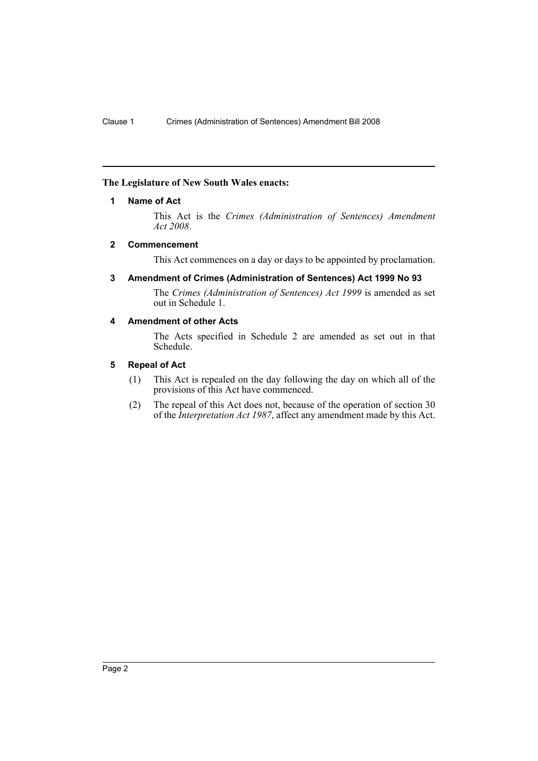# <span id="page-2-0"></span>**The Legislature of New South Wales enacts:**

# **1 Name of Act**

This Act is the *Crimes (Administration of Sentences) Amendment Act 2008*.

# <span id="page-2-1"></span>**2 Commencement**

This Act commences on a day or days to be appointed by proclamation.

# <span id="page-2-2"></span>**3 Amendment of Crimes (Administration of Sentences) Act 1999 No 93**

The *Crimes (Administration of Sentences) Act 1999* is amended as set out in Schedule 1.

# <span id="page-2-3"></span>**4 Amendment of other Acts**

The Acts specified in Schedule 2 are amended as set out in that Schedule.

# <span id="page-2-4"></span>**5 Repeal of Act**

- (1) This Act is repealed on the day following the day on which all of the provisions of this Act have commenced.
- (2) The repeal of this Act does not, because of the operation of section 30 of the *Interpretation Act 1987*, affect any amendment made by this Act.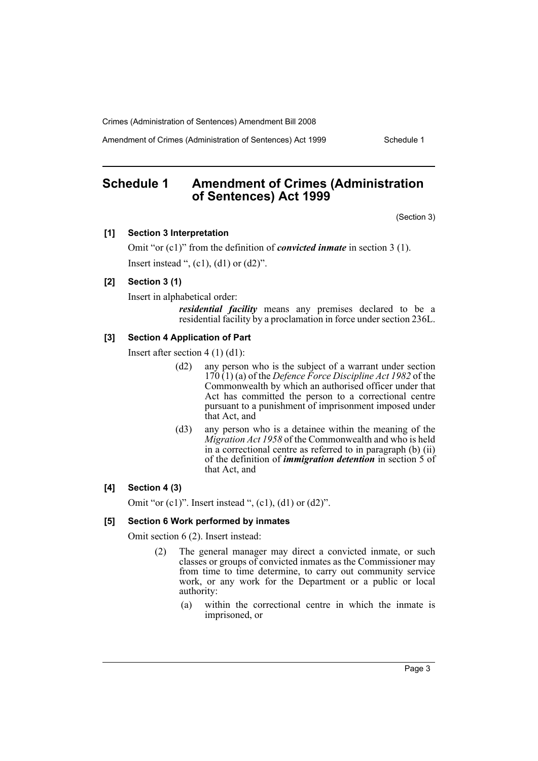Amendment of Crimes (Administration of Sentences) Act 1999 Schedule 1

# <span id="page-3-0"></span>**Schedule 1 Amendment of Crimes (Administration of Sentences) Act 1999**

(Section 3)

#### **[1] Section 3 Interpretation**

Omit "or (c1)" from the definition of *convicted inmate* in section 3 (1). Insert instead ",  $(c1)$ ,  $(d1)$  or  $(d2)$ ".

# **[2] Section 3 (1)**

Insert in alphabetical order:

*residential facility* means any premises declared to be a residential facility by a proclamation in force under section 236L.

# **[3] Section 4 Application of Part**

Insert after section 4 (1) (d1):

- (d2) any person who is the subject of a warrant under section 170 (1) (a) of the *Defence Force Discipline Act 1982* of the Commonwealth by which an authorised officer under that Act has committed the person to a correctional centre pursuant to a punishment of imprisonment imposed under that Act, and
- (d3) any person who is a detainee within the meaning of the *Migration Act 1958* of the Commonwealth and who is held in a correctional centre as referred to in paragraph (b) (ii) of the definition of *immigration detention* in section 5 of that Act, and

#### **[4] Section 4 (3)**

Omit "or  $(c1)$ ". Insert instead ",  $(c1)$ ,  $(d1)$  or  $(d2)$ ".

#### **[5] Section 6 Work performed by inmates**

Omit section 6 (2). Insert instead:

- (2) The general manager may direct a convicted inmate, or such classes or groups of convicted inmates as the Commissioner may from time to time determine, to carry out community service work, or any work for the Department or a public or local authority:
	- (a) within the correctional centre in which the inmate is imprisoned, or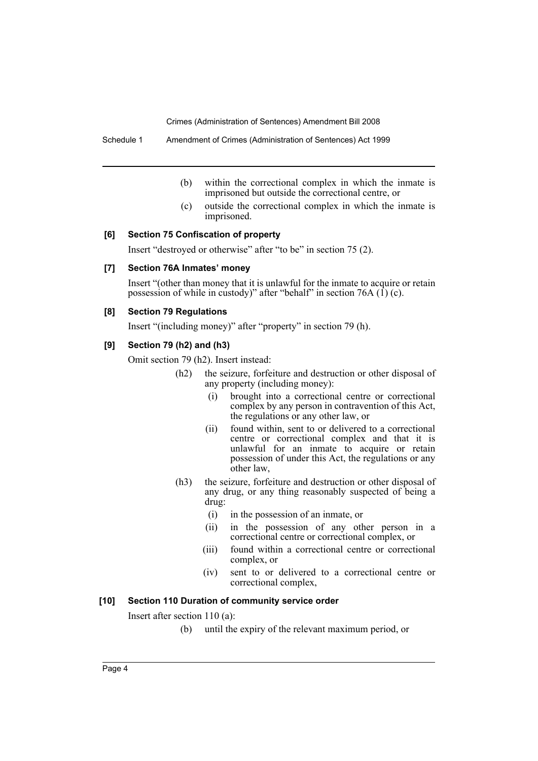Schedule 1 Amendment of Crimes (Administration of Sentences) Act 1999

- (b) within the correctional complex in which the inmate is imprisoned but outside the correctional centre, or
- (c) outside the correctional complex in which the inmate is imprisoned.

# **[6] Section 75 Confiscation of property**

Insert "destroyed or otherwise" after "to be" in section 75 (2).

#### **[7] Section 76A Inmates' money**

Insert "(other than money that it is unlawful for the inmate to acquire or retain possession of while in custody)" after "behalf" in section 76A  $(1)$  (c).

#### **[8] Section 79 Regulations**

Insert "(including money)" after "property" in section 79 (h).

# **[9] Section 79 (h2) and (h3)**

Omit section 79 (h2). Insert instead:

- (h2) the seizure, forfeiture and destruction or other disposal of any property (including money):
	- (i) brought into a correctional centre or correctional complex by any person in contravention of this Act, the regulations or any other law, or
	- (ii) found within, sent to or delivered to a correctional centre or correctional complex and that it is unlawful for an inmate to acquire or retain possession of under this Act, the regulations or any other law,
- (h3) the seizure, forfeiture and destruction or other disposal of any drug, or any thing reasonably suspected of being a drug:
	- (i) in the possession of an inmate, or
	- (ii) in the possession of any other person in a correctional centre or correctional complex, or
	- (iii) found within a correctional centre or correctional complex, or
	- (iv) sent to or delivered to a correctional centre or correctional complex,

# **[10] Section 110 Duration of community service order**

Insert after section 110 (a):

(b) until the expiry of the relevant maximum period, or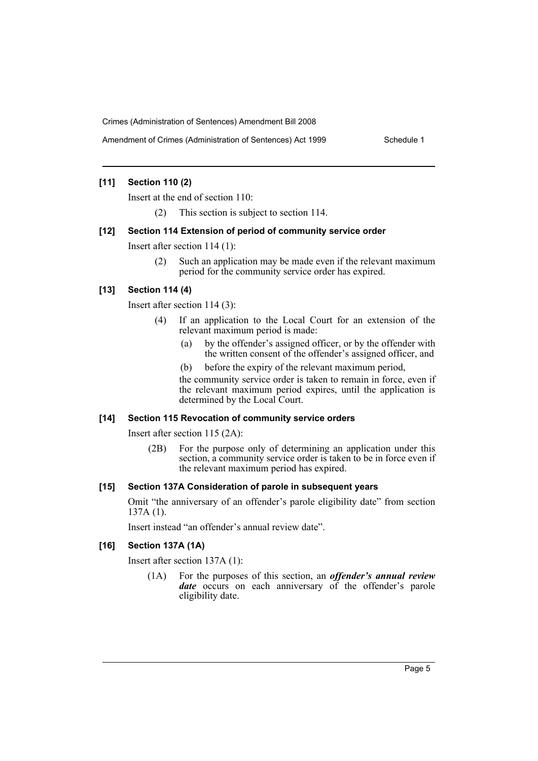# **[11] Section 110 (2)**

Insert at the end of section 110:

(2) This section is subject to section 114.

#### **[12] Section 114 Extension of period of community service order**

Insert after section 114 (1):

(2) Such an application may be made even if the relevant maximum period for the community service order has expired.

# **[13] Section 114 (4)**

Insert after section 114 (3):

- (4) If an application to the Local Court for an extension of the relevant maximum period is made:
	- (a) by the offender's assigned officer, or by the offender with the written consent of the offender's assigned officer, and
	- (b) before the expiry of the relevant maximum period,

the community service order is taken to remain in force, even if the relevant maximum period expires, until the application is determined by the Local Court.

#### **[14] Section 115 Revocation of community service orders**

Insert after section 115 (2A):

(2B) For the purpose only of determining an application under this section, a community service order is taken to be in force even if the relevant maximum period has expired.

#### **[15] Section 137A Consideration of parole in subsequent years**

Omit "the anniversary of an offender's parole eligibility date" from section 137A (1).

Insert instead "an offender's annual review date".

# **[16] Section 137A (1A)**

Insert after section 137A (1):

(1A) For the purposes of this section, an *offender's annual review date* occurs on each anniversary of the offender's parole eligibility date.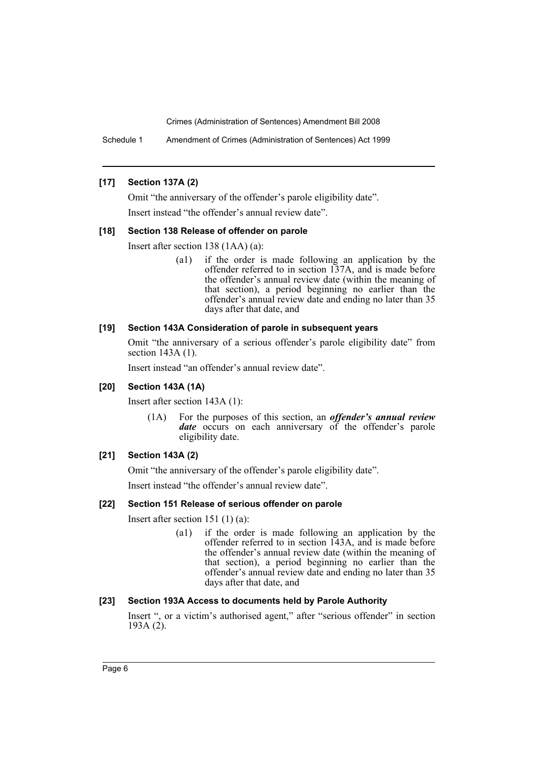Schedule 1 Amendment of Crimes (Administration of Sentences) Act 1999

# **[17] Section 137A (2)**

Omit "the anniversary of the offender's parole eligibility date".

Insert instead "the offender's annual review date".

# **[18] Section 138 Release of offender on parole**

Insert after section 138 (1AA) (a):

(a1) if the order is made following an application by the offender referred to in section 137A, and is made before the offender's annual review date (within the meaning of that section), a period beginning no earlier than the offender's annual review date and ending no later than 35 days after that date, and

# **[19] Section 143A Consideration of parole in subsequent years**

Omit "the anniversary of a serious offender's parole eligibility date" from section 143A (1).

Insert instead "an offender's annual review date".

#### **[20] Section 143A (1A)**

Insert after section 143A (1):

(1A) For the purposes of this section, an *offender's annual review* date occurs on each anniversary of the offender's parole eligibility date.

# **[21] Section 143A (2)**

Omit "the anniversary of the offender's parole eligibility date".

Insert instead "the offender's annual review date".

# **[22] Section 151 Release of serious offender on parole**

Insert after section 151 (1) (a):

(a1) if the order is made following an application by the offender referred to in section 143A, and is made before the offender's annual review date (within the meaning of that section), a period beginning no earlier than the offender's annual review date and ending no later than 35 days after that date, and

#### **[23] Section 193A Access to documents held by Parole Authority**

Insert ", or a victim's authorised agent," after "serious offender" in section 193A (2).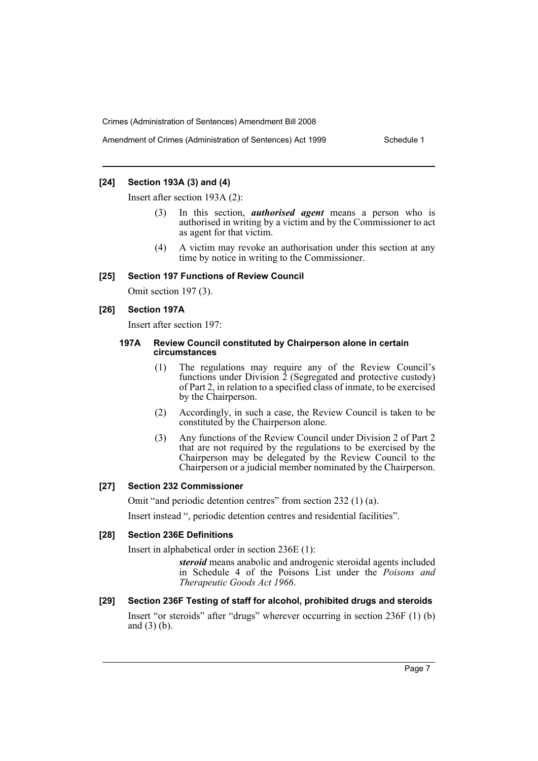# **[24] Section 193A (3) and (4)**

Insert after section 193A (2):

- (3) In this section, *authorised agent* means a person who is authorised in writing by a victim and by the Commissioner to act as agent for that victim.
- (4) A victim may revoke an authorisation under this section at any time by notice in writing to the Commissioner.

#### **[25] Section 197 Functions of Review Council**

Omit section 197 (3).

#### **[26] Section 197A**

Insert after section 197:

#### **197A Review Council constituted by Chairperson alone in certain circumstances**

- (1) The regulations may require any of the Review Council's functions under Division  $\overline{2}$  (Segregated and protective custody) of Part 2, in relation to a specified class of inmate, to be exercised by the Chairperson.
- (2) Accordingly, in such a case, the Review Council is taken to be constituted by the Chairperson alone.
- (3) Any functions of the Review Council under Division 2 of Part 2 that are not required by the regulations to be exercised by the Chairperson may be delegated by the Review Council to the Chairperson or a judicial member nominated by the Chairperson.

#### **[27] Section 232 Commissioner**

Omit "and periodic detention centres" from section 232 (1) (a).

Insert instead ", periodic detention centres and residential facilities".

#### **[28] Section 236E Definitions**

Insert in alphabetical order in section 236E (1):

*steroid* means anabolic and androgenic steroidal agents included in Schedule 4 of the Poisons List under the *Poisons and Therapeutic Goods Act 1966*.

**[29] Section 236F Testing of staff for alcohol, prohibited drugs and steroids**  Insert "or steroids" after "drugs" wherever occurring in section 236F (1) (b) and (3) (b).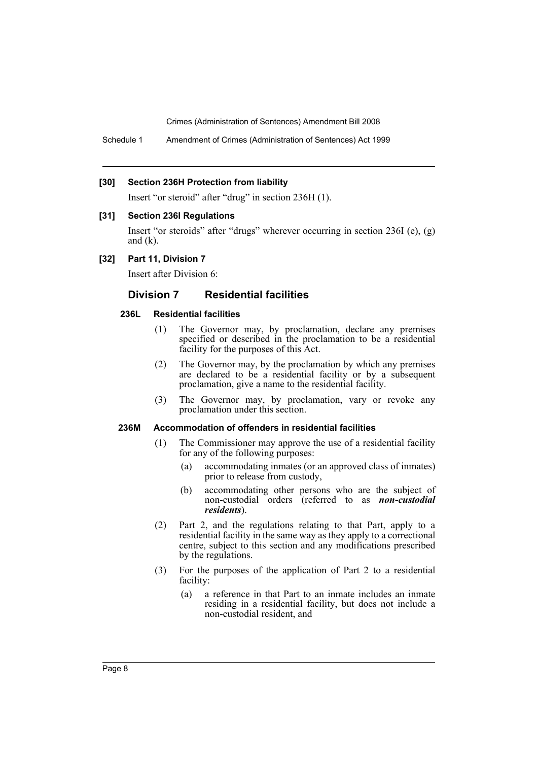Schedule 1 Amendment of Crimes (Administration of Sentences) Act 1999

#### **[30] Section 236H Protection from liability**

Insert "or steroid" after "drug" in section 236H (1).

#### **[31] Section 236I Regulations**

Insert "or steroids" after "drugs" wherever occurring in section 236I (e), (g) and  $(k)$ .

### **[32] Part 11, Division 7**

Insert after Division 6:

# **Division 7 Residential facilities**

# **236L Residential facilities**

- (1) The Governor may, by proclamation, declare any premises specified or described in the proclamation to be a residential facility for the purposes of this Act.
- (2) The Governor may, by the proclamation by which any premises are declared to be a residential facility or by a subsequent proclamation, give a name to the residential facility.
- (3) The Governor may, by proclamation, vary or revoke any proclamation under this section.

# **236M Accommodation of offenders in residential facilities**

- (1) The Commissioner may approve the use of a residential facility for any of the following purposes:
	- (a) accommodating inmates (or an approved class of inmates) prior to release from custody,
	- (b) accommodating other persons who are the subject of non-custodial orders (referred to as *non-custodial residents*).
- (2) Part 2, and the regulations relating to that Part, apply to a residential facility in the same way as they apply to a correctional centre, subject to this section and any modifications prescribed by the regulations.
- (3) For the purposes of the application of Part 2 to a residential facility:
	- (a) a reference in that Part to an inmate includes an inmate residing in a residential facility, but does not include a non-custodial resident, and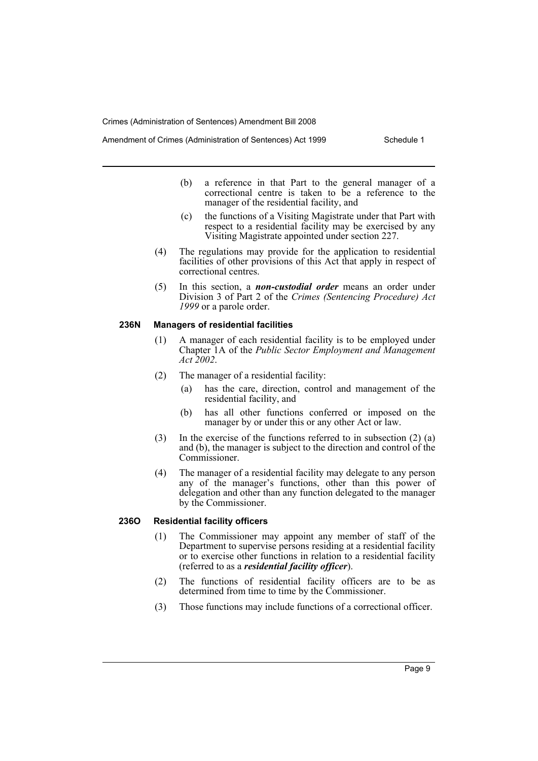Amendment of Crimes (Administration of Sentences) Act 1999 Schedule 1

- (b) a reference in that Part to the general manager of a correctional centre is taken to be a reference to the manager of the residential facility, and
- (c) the functions of a Visiting Magistrate under that Part with respect to a residential facility may be exercised by any Visiting Magistrate appointed under section 227.
- (4) The regulations may provide for the application to residential facilities of other provisions of this Act that apply in respect of correctional centres.
- (5) In this section, a *non-custodial order* means an order under Division 3 of Part 2 of the *Crimes (Sentencing Procedure) Act 1999* or a parole order.

#### **236N Managers of residential facilities**

- (1) A manager of each residential facility is to be employed under Chapter 1A of the *Public Sector Employment and Management Act 2002*.
- (2) The manager of a residential facility:
	- (a) has the care, direction, control and management of the residential facility, and
	- (b) has all other functions conferred or imposed on the manager by or under this or any other Act or law.
- (3) In the exercise of the functions referred to in subsection (2) (a) and (b), the manager is subject to the direction and control of the Commissioner.
- (4) The manager of a residential facility may delegate to any person any of the manager's functions, other than this power of delegation and other than any function delegated to the manager by the Commissioner.

#### **236O Residential facility officers**

- (1) The Commissioner may appoint any member of staff of the Department to supervise persons residing at a residential facility or to exercise other functions in relation to a residential facility (referred to as a *residential facility officer*).
- (2) The functions of residential facility officers are to be as determined from time to time by the Commissioner.
- (3) Those functions may include functions of a correctional officer.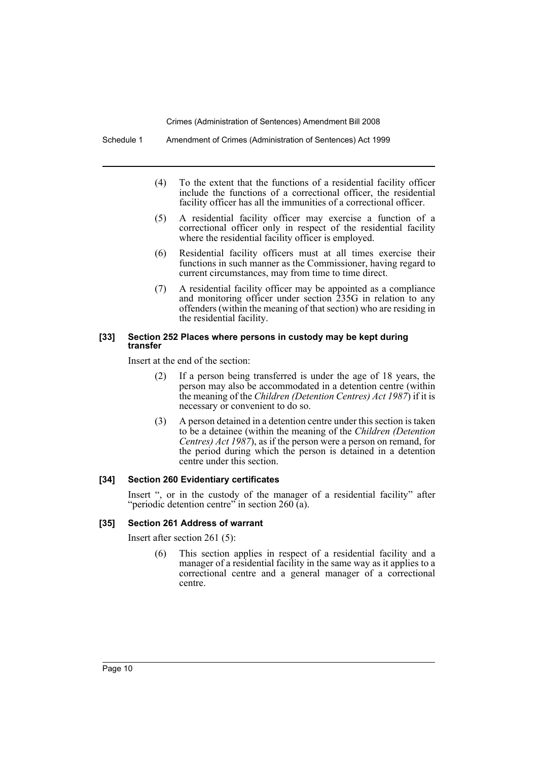Schedule 1 Amendment of Crimes (Administration of Sentences) Act 1999

- (4) To the extent that the functions of a residential facility officer include the functions of a correctional officer, the residential facility officer has all the immunities of a correctional officer.
- (5) A residential facility officer may exercise a function of a correctional officer only in respect of the residential facility where the residential facility officer is employed.
- (6) Residential facility officers must at all times exercise their functions in such manner as the Commissioner, having regard to current circumstances, may from time to time direct.
- (7) A residential facility officer may be appointed as a compliance and monitoring officer under section 235G in relation to any offenders (within the meaning of that section) who are residing in the residential facility.

#### **[33] Section 252 Places where persons in custody may be kept during transfer**

Insert at the end of the section:

- (2) If a person being transferred is under the age of 18 years, the person may also be accommodated in a detention centre (within the meaning of the *Children (Detention Centres) Act 1987*) if it is necessary or convenient to do so.
- (3) A person detained in a detention centre under this section is taken to be a detainee (within the meaning of the *Children (Detention Centres) Act 1987*), as if the person were a person on remand, for the period during which the person is detained in a detention centre under this section.

# **[34] Section 260 Evidentiary certificates**

Insert ", or in the custody of the manager of a residential facility" after "periodic detention centre" in section 260 (a).

# **[35] Section 261 Address of warrant**

Insert after section 261 (5):

(6) This section applies in respect of a residential facility and a manager of a residential facility in the same way as it applies to a correctional centre and a general manager of a correctional centre.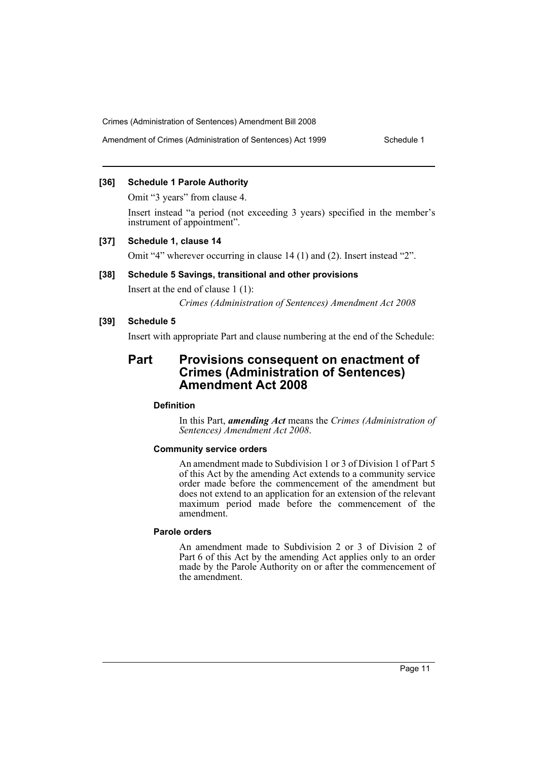# **[36] Schedule 1 Parole Authority**

Omit "3 years" from clause 4.

Insert instead "a period (not exceeding 3 years) specified in the member's instrument of appointment".

#### **[37] Schedule 1, clause 14**

Omit "4" wherever occurring in clause 14 (1) and (2). Insert instead "2".

# **[38] Schedule 5 Savings, transitional and other provisions**

Insert at the end of clause 1 (1):

*Crimes (Administration of Sentences) Amendment Act 2008*

# **[39] Schedule 5**

Insert with appropriate Part and clause numbering at the end of the Schedule:

# **Part Provisions consequent on enactment of Crimes (Administration of Sentences) Amendment Act 2008**

#### **Definition**

In this Part, *amending Act* means the *Crimes (Administration of Sentences) Amendment Act 2008*.

#### **Community service orders**

An amendment made to Subdivision 1 or 3 of Division 1 of Part 5 of this Act by the amending Act extends to a community service order made before the commencement of the amendment but does not extend to an application for an extension of the relevant maximum period made before the commencement of the amendment.

#### **Parole orders**

An amendment made to Subdivision 2 or 3 of Division 2 of Part 6 of this Act by the amending Act applies only to an order made by the Parole Authority on or after the commencement of the amendment.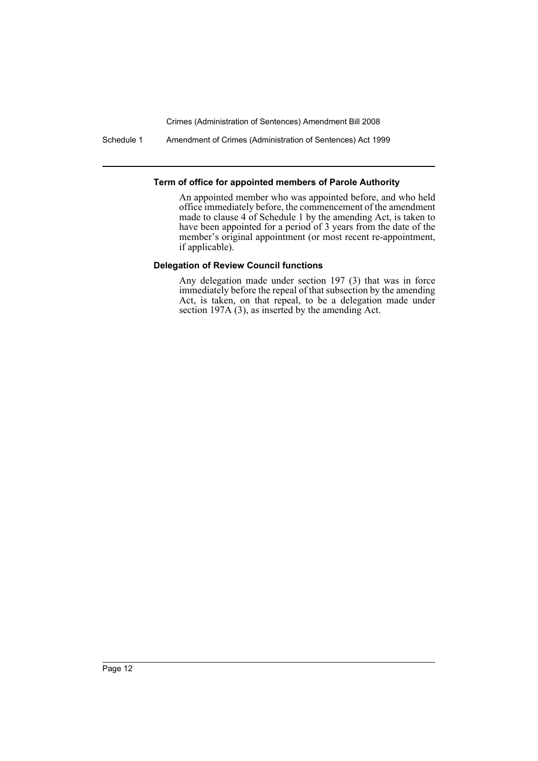Schedule 1 Amendment of Crimes (Administration of Sentences) Act 1999

# **Term of office for appointed members of Parole Authority**

An appointed member who was appointed before, and who held office immediately before, the commencement of the amendment made to clause 4 of Schedule 1 by the amending Act, is taken to have been appointed for a period of 3 years from the date of the member's original appointment (or most recent re-appointment, if applicable).

# **Delegation of Review Council functions**

Any delegation made under section 197 (3) that was in force immediately before the repeal of that subsection by the amending Act, is taken, on that repeal, to be a delegation made under section 197A (3), as inserted by the amending Act.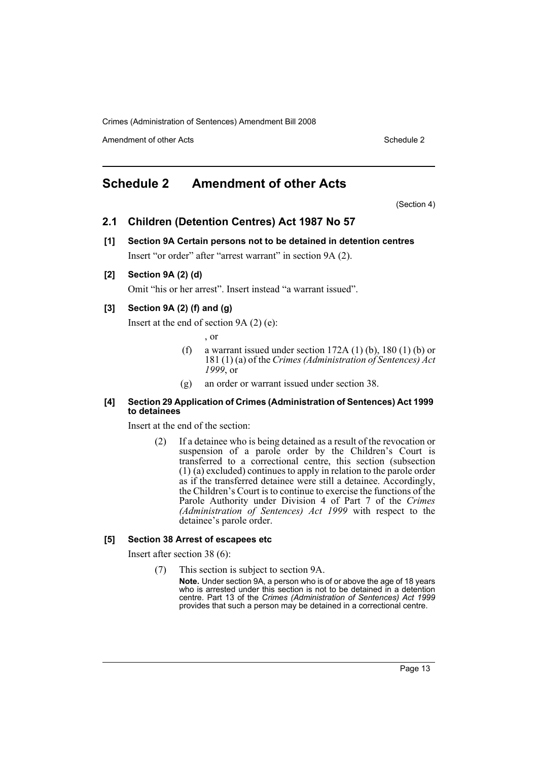Amendment of other Acts **Schedule 2** and the 2 and 2 and 2 and 2 and 2 and 2 and 2 and 2 and 2 and 2 and 2 and 2 and 2 and 2 and 2 and 2 and 2 and 2 and 2 and 2 and 2 and 2 and 2 and 2 and 2 and 2 and 2 and 2 and 2 and 2 a

# <span id="page-13-0"></span>**Schedule 2 Amendment of other Acts**

(Section 4)

# **2.1 Children (Detention Centres) Act 1987 No 57**

- **[1] Section 9A Certain persons not to be detained in detention centres** Insert "or order" after "arrest warrant" in section 9A (2).
- **[2] Section 9A (2) (d)**

Omit "his or her arrest". Insert instead "a warrant issued".

# **[3] Section 9A (2) (f) and (g)**

Insert at the end of section 9A (2) (e):

, or

- (f) a warrant issued under section  $172A(1)$  (b),  $180(1)$  (b) or 181 (1) (a) of the *Crimes (Administration of Sentences) Act 1999*, or
- (g) an order or warrant issued under section 38.

#### **[4] Section 29 Application of Crimes (Administration of Sentences) Act 1999 to detainees**

Insert at the end of the section:

(2) If a detainee who is being detained as a result of the revocation or suspension of a parole order by the Children's Court is transferred to a correctional centre, this section (subsection (1) (a) excluded) continues to apply in relation to the parole order as if the transferred detainee were still a detainee. Accordingly, the Children's Court is to continue to exercise the functions of the Parole Authority under Division 4 of Part 7 of the *Crimes (Administration of Sentences) Act 1999* with respect to the detainee's parole order.

#### **[5] Section 38 Arrest of escapees etc**

Insert after section 38 (6):

(7) This section is subject to section 9A.

**Note.** Under section 9A, a person who is of or above the age of 18 years who is arrested under this section is not to be detained in a detention centre. Part 13 of the *Crimes (Administration of Sentences) Act 1999* provides that such a person may be detained in a correctional centre.